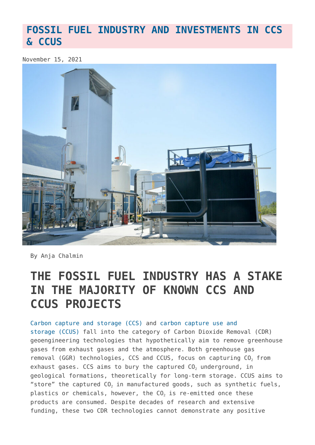#### **[FOSSIL FUEL INDUSTRY AND INVESTMENTS IN CCS](https://www.geoengineeringmonitor.org/2021/11/fossil-fuel-industry-and-investments-in-ccs-ccus/) [& CCUS](https://www.geoengineeringmonitor.org/2021/11/fossil-fuel-industry-and-investments-in-ccs-ccus/)**

November 15, 2021



By Anja Chalmin

## **THE FOSSIL FUEL INDUSTRY HAS A STAKE IN THE MAJORITY OF KNOWN CCS AND CCUS PROJECTS**

[Carbon capture and storage \(CCS\)](https://www.geoengineeringmonitor.org/wp-content/uploads/2021/04/carbon-capture-and-storage.pdf) and [carbon capture use and](https://www.geoengineeringmonitor.org/wp-content/uploads/2021/08/carbon-capture-use-and-storage.pdf) [storage \(CCUS\)](https://www.geoengineeringmonitor.org/wp-content/uploads/2021/08/carbon-capture-use-and-storage.pdf) fall into the category of Carbon Dioxide Removal (CDR) geoengineering technologies that hypothetically aim to remove greenhouse gases from exhaust gases and the atmosphere. Both greenhouse gas removal (GGR) technologies, CCS and CCUS, focus on capturing  $CO<sub>2</sub>$  from exhaust gases. CCS aims to bury the captured  $CO<sub>2</sub>$  underground, in geological formations, theoretically for long-term storage. CCUS aims to "store" the captured  $CO<sub>2</sub>$  in manufactured goods, such as synthetic fuels, plastics or chemicals, however, the CO<sub>2</sub> is re-emitted once these products are consumed. Despite decades of research and extensive funding, these two CDR technologies cannot demonstrate any positive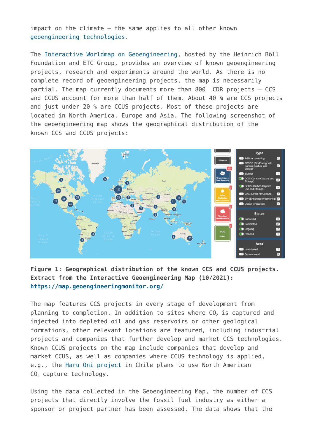impact on the climate – the same applies to all other known [geoengineering technologies](https://www.geoengineeringmonitor.org/what-is-geoengineering/).

The [Interactive Worldmap on Geoengineering,](https://map.geoengineeringmonitor.org/) hosted by the Heinrich Böll Foundation and ETC Group, provides an overview of known geoengineering projects, research and experiments around the world. As there is no complete record of geoengineering projects, the map is necessarily partial. The map currently documents more than 800 CDR projects – CCS and CCUS account for more than half of them. About 40 % are CCS projects and just under 20 % are CCUS projects. Most of these projects are located in North America, Europe and Asia. The following screenshot of the geoengineering map shows the geographical distribution of the known CCS and CCUS projects:



#### **Figure 1: Geographical distribution of the known CCS and CCUS projects. Extract from the Interactive Geoengineering Map (10/2021): <https://map.geoengineeringmonitor.org/>**

The map features CCS projects in every stage of development from planning to completion. In addition to sites where  $CO<sub>2</sub>$  is captured and injected into depleted oil and gas reservoirs or other geological formations, other relevant locations are featured, including industrial projects and companies that further develop and market CCS technologies. Known CCUS projects on the map include companies that develop and market CCUS, as well as companies where CCUS technology is applied, e.g., the [Haru Oni project](https://map.geoengineeringmonitor.org/ggr/haru-oni-highly-innovative-fuels-project) in Chile plans to use North American  $CO<sub>2</sub>$  capture technology.

Using the data collected in the Geoengineering Map, the number of CCS projects that directly involve the fossil fuel industry as either a sponsor or project partner has been assessed. The data shows that the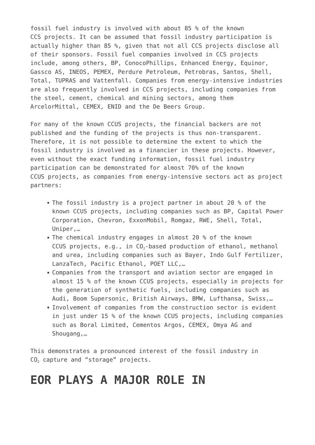fossil fuel industry is involved with about 85 % of the known CCS projects. It can be assumed that fossil industry participation is actually higher than 85 %, given that not all CCS projects disclose all of their sponsors. Fossil fuel companies involved in CCS projects include, among others, BP, ConocoPhillips, Enhanced Energy, Equinor, Gassco AS, INEOS, PEMEX, Perdure Petroleum, Petrobras, Santos, Shell, Total, TUPRAS and Vattenfall. Companies from energy-intensive industries are also frequently involved in CCS projects, including companies from the steel, cement, chemical and mining sectors, among them ArcelorMittal, CEMEX, ENID and the De Beers Group.

For many of the known CCUS projects, the financial backers are not published and the funding of the projects is thus non-transparent. Therefore, it is not possible to determine the extent to which the fossil industry is involved as a financier in these projects. However, even without the exact funding information, fossil fuel industry participation can be demonstrated for almost 70% of the known CCUS projects, as companies from energy-intensive sectors act as project partners:

- The fossil industry is a project partner in about 20 % of the known CCUS projects, including companies such as BP, Capital Power Corporation, Chevron, ExxonMobil, Romgaz, RWE, Shell, Total, Uniper,…
- The chemical industry engages in almost 20 % of the known CCUS projects, e.g., in  $CO<sub>2</sub>$ -based production of ethanol, methanol and urea, including companies such as Bayer, Indo Gulf Fertilizer, LanzaTech, Pacific Ethanol, POET LLC,…
- Companies from the transport and aviation sector are engaged in almost 15 % of the known CCUS projects, especially in projects for the generation of synthetic fuels, including companies such as Audi, Boom Supersonic, British Airways, BMW, Lufthansa, Swiss,…
- Involvement of companies from the construction sector is evident in just under 15 % of the known CCUS projects, including companies such as Boral Limited, Cementos Argos, CEMEX, Omya AG and Shougang,…

This demonstrates a pronounced interest of the fossil industry in  $CO<sub>2</sub>$  capture and "storage" projects.

#### **EOR PLAYS A MAJOR ROLE IN**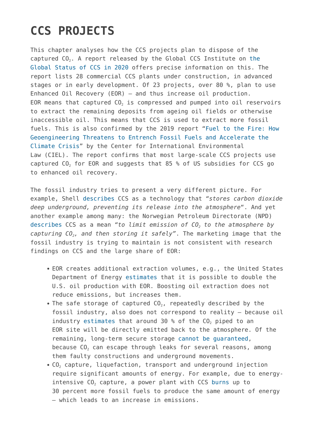# **CCS PROJECTS**

This chapter analyses how the CCS projects plan to dispose of the captured  $CO<sub>2</sub>$ . A report released by [the](https://www.globalccsinstitute.com/wp-content/uploads/2020/11/Global-Status-of-CCS-Report-2020_FINAL.pdf) Global CCS Institute on the [Global Status of CCS in 2020](https://www.globalccsinstitute.com/wp-content/uploads/2020/11/Global-Status-of-CCS-Report-2020_FINAL.pdf) offers precise information on this. The report lists 28 commercial CCS plants under construction, in advanced stages or in early development. Of 23 projects, over 80 %, plan to use Enhanced Oil Recovery (EOR) – and thus increase oil production. EOR means that captured  $CO<sub>2</sub>$  is compressed and pumped into oil reservoirs to extract the remaining deposits from ageing oil fields or otherwise inaccessible oil. This means that CCS is used to extract more fossil fuels. This is also confirmed by the 2019 report "[Fuel to the Fire: How](https://www.ciel.org/news/fuel-to-the-fire-how-geoengineering-threatens-to-entrench-fossil-fuels-and-accelerate-the-climate-crisis/) [Geoengineering Threatens to Entrench Fossil Fuels and Accelerate the](https://www.ciel.org/news/fuel-to-the-fire-how-geoengineering-threatens-to-entrench-fossil-fuels-and-accelerate-the-climate-crisis/) [Climate Crisis](https://www.ciel.org/news/fuel-to-the-fire-how-geoengineering-threatens-to-entrench-fossil-fuels-and-accelerate-the-climate-crisis/)" by the Center for International Environmental Law (CIEL). The report confirms that most large-scale CCS projects use captured  $CO<sub>2</sub>$  for EOR and suggests that 85 % of US subsidies for CCS go to enhanced oil recovery.

The fossil industry tries to present a very different picture. For example, Shell [describes](https://www.shell.com/energy-and-innovation/carbon-capture-and-storage-projects.html) CCS as a technology that *"stores carbon dioxide deep underground, preventing its release into the atmosphere*". And yet another example among many: the Norwegian Petroleum Directorate (NPD) [describes](https://www.npd.no/en/facts/carbon-storage/) CCS as a mean *"to limit emission of CO2 to the atmosphere by capturing CO2, and then storing it safely"*. The marketing image that the fossil industry is trying to maintain is not consistent with research findings on CCS and the large share of EOR:

- EOR creates additional extraction volumes, e.g., the United States Department of Energy [estimates](https://netl.doe.gov/research/coal/energy-systems/gasification/gasifipedia/eor) that it is possible to double the U.S. oil production with EOR. Boosting oil extraction does not reduce emissions, but increases them.
- The safe storage of captured  $CO<sub>2</sub>$ , repeatedly described by the fossil industry, also does not correspond to reality – because oil industry [estimates](http://www.biofuelwatch.org.uk/2015/beccs-report/) that around 30 % of the  $CO<sub>2</sub>$  piped to an EOR site will be directly emitted back to the atmosphere. Of the remaining, long-term secure storage [cannot be guaranteed](https://www.geoengineeringmonitor.org/wp-content/uploads/2021/04/carbon-capture-and-storage.pdf), because  $CO<sub>2</sub>$  can escape through leaks for several reasons, among them faulty constructions and underground movements.
- CO<sub>2</sub> capture, liquefaction, transport and underground injection require significant amounts of energy. For example, due to energyintensive  $CO<sub>2</sub>$  capture, a power plant with CCS [burns](https://www.geoengineeringmonitor.org/2021/04/carbon_capture_storage/) up to 30 percent more fossil fuels to produce the same amount of energy – which leads to an increase in emissions.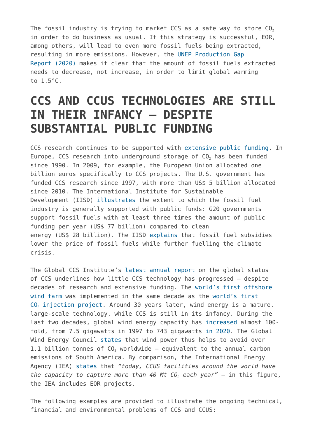The fossil industry is trying to market CCS as a safe way to store  $CO<sub>2</sub>$ in order to do business as usual. If this strategy is successful, EOR, among others, will lead to even more fossil fuels being extracted, resulting in more emissions. However, the [UNEP Production Gap](https://productiongap.org/2020report/) [Report \(2020\)](https://productiongap.org/2020report/) makes it clear that the amount of fossil fuels extracted needs to decrease, not increase, in order to limit global warming to 1.5°C.

### **CCS AND CCUS TECHNOLOGIES ARE STILL IN THEIR INFANCY – DESPITE SUBSTANTIAL PUBLIC FUNDING**

CCS research continues to be supported with [extensive public funding.](https://www.ciel.org/news/fuel-to-the-fire-how-geoengineering-threatens-to-entrench-fossil-fuels-and-accelerate-the-climate-crisis/) In Europe, CCS research into underground storage of CO<sub>2</sub> has been funded since 1990. In 2009, for example, the European Union allocated one billion euros specifically to CCS projects. The U.S. government has funded CCS research since 1997, with more than US\$ 5 billion allocated since 2010. The International Institute for Sustainable Development (IISD) [illustrates](https://www.iisd.org/articles/statement-2021-end-international-support-coal-oil-gas) the extent to which the fossil fuel industry is generally supported with public funds: G20 governments support fossil fuels with at least three times the amount of public funding per year (US\$ 77 billion) compared to clean energy (US\$ 28 billion). The IISD [explains](https://www.iisd.org/events/fossil-fuel-subsidy-reform-clean-energy-transitions) that fossil fuel subsidies lower the price of fossil fuels while further fuelling the climate crisis.

The Global CCS Institute's [latest annual report](https://www.globalccsinstitute.com/wp-content/uploads/2020/11/Global-Status-of-CCS-Report-2020_FINAL.pdf) on the global status of CCS underlines how little CCS technology has progressed – despite decades of research and extensive funding. The [world's first offshore](https://ec.europa.eu/energy/sites/ener/files/offshore_renewable_energy_strategy.pdf) [wind farm](https://ec.europa.eu/energy/sites/ener/files/offshore_renewable_energy_strategy.pdf) was implemented in the same decade as the [world's first](https://map.geoengineeringmonitor.org/ggr/sleipner-co2-storage) [CO](https://map.geoengineeringmonitor.org/ggr/sleipner-co2-storage)<sub>[2](https://map.geoengineeringmonitor.org/ggr/sleipner-co2-storage)</sub> [injection project.](https://map.geoengineeringmonitor.org/ggr/sleipner-co2-storage) Around 30 years later, wind energy is a mature, large-scale technology, while CCS is still in its infancy. During the last two decades, global wind energy capacity has [increased](https://www.irena.org/wind) almost 100 fold, from 7.5 gigawatts in 1997 to 743 gigawatts [in 2020.](https://gwec.net/global-wind-report-2021/) The Global Wind Energy Council [states](https://gwec.net/global-wind-report-2021/) that wind power thus helps to avoid over 1.1 billion tonnes of  $CO<sub>2</sub>$  worldwide – equivalent to the annual carbon emissions of South America. By comparison, the International Energy Agency (IEA) [states](https://www.iea.org/reports/about-ccus) that *"today, CCUS facilities around the world have the capacity to capture more than 40 Mt CO2 each year"* – in this figure, the IEA includes EOR projects.

The following examples are provided to illustrate the ongoing technical, financial and environmental problems of CCS and CCUS: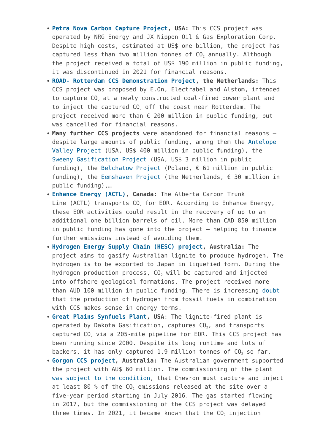- **[Petra Nova Carbon Capture Project](https://map.geoengineeringmonitor.org/ggr/petra-nova-carbon-capture), USA:** This CCS project was operated by NRG Energy and JX Nippon Oil & Gas Exploration Corp. Despite high costs, estimated at US\$ one billion, the project has captured less than two million tonnes of  $CO<sub>2</sub>$  annually. Although the project received a total of US\$ 190 million in public funding, it was discontinued in 2021 for financial reasons.
- **[ROAD- Rotterdam CCS Demonstration Project](https://map.geoengineeringmonitor.org/ggr/rotterdam-ccs-demonstration-project-road-(former-maasvlakte-project)), the Netherlands:** This CCS project was proposed by E.On, Electrabel and Alstom, intended to capture CO<sub>2</sub> at a newly constructed coal-fired power plant and to inject the captured CO<sub>2</sub> off the coast near Rotterdam. The project received more than € 200 million in public funding, but was cancelled for financial reasons.
- **Many further CCS projects** were abandoned for financial reasons despite large amounts of public funding, among them the [Antelope](https://map.geoengineeringmonitor.org/ggr/antelope-valley-project) [Valley Project](https://map.geoengineeringmonitor.org/ggr/antelope-valley-project) (USA, US\$ 400 million in public funding), the [Sweeny Gasification Project](https://map.geoengineeringmonitor.org/ggr/sweeny-gasification-project) (USA, US\$ 3 million in public funding), the [Belchatow Project](https://map.geoengineeringmonitor.org/ggr/belchatow-project) (Poland,  $\epsilon$  61 million in public funding), the [Eemshaven Project](https://map.geoengineeringmonitor.org/ggr/eemshaven-project) (the Netherlands, € 30 million in public funding),…
- **[Enhance Energy \(ACTL\),](https://map.geoengineeringmonitor.org/ggr/enhance-energy-(actl)) Canada:** The Alberta Carbon Trunk Line (ACTL) transports  $CO<sub>2</sub>$  for EOR. According to Enhance Energy, these EOR activities could result in the recovery of up to an additional one billion barrels of oil. More than CAD 850 million in public funding has gone into the project – helping to finance further emissions instead of avoiding them.
- **[Hydrogen Energy Supply Chain \(HESC\) project](https://map.geoengineeringmonitor.org/ggr/hydrogen-energy-supply-chain-(hesc)-project), Australia:** The project aims to gasify Australian lignite to produce hydrogen. The hydrogen is to be exported to Japan in liquefied form. During the hydrogen production process,  $CO<sub>2</sub>$  will be captured and injected into offshore geological formations. The project received more than AUD 100 million in public funding. There is increasing [doubt](https://onlinelibrary.wiley.com/doi/full/10.1002/ese3.956) that the production of hydrogen from fossil fuels in combination with CCS makes sense in energy terms.
- **[Great Plains Synfuels Plant](https://map.geoengineeringmonitor.org/ggr/great-plains-synfuels-plant), USA**: The lignite-fired plant is operated by Dakota Gasification, captures  $CO<sub>2</sub>$ , and transports captured  $CO<sub>2</sub>$  via a 205-mile pipeline for EOR. This CCS project has been running since 2000. Despite its long runtime and lots of backers, it has only captured 1.9 million tonnes of  $CO<sub>2</sub>$  so far.
- **[Gorgon CCS project,](https://map.geoengineeringmonitor.org/ggr/gorgon-ccs-project) Australia:** The Australian government supported the project with AU\$ 60 million. The commissioning of the plant [was subject to the condition,](https://www.smh.com.au/business/companies/chevron-s-gorgon-project-could-face-regulatory-action-on-emissions-after-ministerial-decision-20200529-p54xvl.html) that Chevron must capture and inject at least 80 % of the  $CO<sub>2</sub>$  emissions released at the site over a five-year period starting in July 2016. The gas started flowing in 2017, but the commissioning of the CCS project was delayed three times. In 2021, it became known that the  $CO<sub>2</sub>$  injection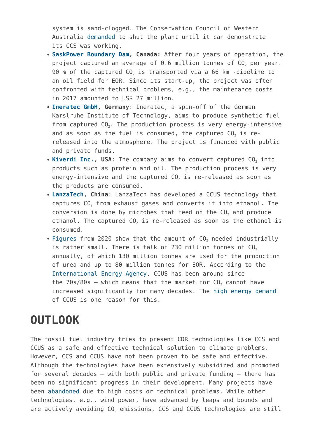system is sand-clogged. The Conservation Council of Western Australia [demanded](https://www.theguardian.com/environment/2021/jan/15/western-australia-lng-plant-faces-calls-to-shut-down-until-faulty-carbon-capture-system-is-fixed) to shut the plant until it can demonstrate its CCS was working.

- **[SaskPower Boundary Dam](https://map.geoengineeringmonitor.org/ggr/saskpower-boundary-dam-), Canada:** After four years of operation, the project captured an average of  $0.6$  million tonnes of  $CO<sub>2</sub>$  per year. 90 % of the captured  $CO<sub>2</sub>$  is transported via a 66 km -pipeline to an oil field for EOR. Since its start-up, the project was often confronted with technical problems, e.g., the maintenance costs in 2017 amounted to US\$ 27 million.
- **[Ineratec GmbH,](https://map.geoengineeringmonitor.org/ggr/ineratec-gmbh) Germany**: Ineratec, a spin-off of the German Karslruhe Institute of Technology, aims to produce synthetic fuel from captured  $CO<sub>2</sub>$ . The production process is very energy-intensive and as soon as the fuel is consumed, the captured  $CO<sub>2</sub>$  is rereleased into the atmosphere. The project is financed with public and private funds.
- [Kiverdi Inc.,](https://map.geoengineeringmonitor.org/ggr/kiverdi-inc-) USA: The company aims to convert captured CO<sub>2</sub> into products such as protein and oil. The production process is very energy-intensive and the captured  $CO<sub>2</sub>$  is re-released as soon as the products are consumed.
- **[LanzaTech](https://map.geoengineeringmonitor.org/ggr/lanzatech-shougang-steel-mill-commercial-ethanol-plant), China**: LanzaTech has developed a CCUS technology that captures  $CO<sub>2</sub>$  from exhaust gases and converts it into ethanol. The conversion is done by microbes that feed on the  $CO<sub>2</sub>$  and produce ethanol. The captured  $CO<sub>2</sub>$  is re-released as soon as the ethanol is consumed.
- [Figures](https://chemistry-europe.onlinelibrary.wiley.com/doi/10.1002/cssc.202002126) from 2020 show that the amount of  $CO<sub>2</sub>$  needed industrially is rather small. There is talk of 230 million tonnes of  $CO<sub>2</sub>$ annually, of which 130 million tonnes are used for the production of urea and up to 80 million tonnes for EOR. According to the [International Energy Agency](https://www.iea.org/reports/about-ccus), CCUS has been around since the  $70s/80s$  – which means that the market for  $C_0$  cannot have increased significantly for many decades. The [high energy demand](https://chemistry-europe.onlinelibrary.wiley.com/doi/10.1002/cssc.202002126) of CCUS is one reason for this.

#### **OUTLOOK**

The fossil fuel industry tries to present CDR technologies like CCS and CCUS as a safe and effective technical solution to climate problems. However, CCS and CCUS have not been proven to be safe and effective. Although the technologies have been extensively subsidized and promoted for several decades – with both public and private funding – there has been no significant progress in their development. Many projects have been [abandoned](https://map.geoengineeringmonitor.org/) due to high costs or technical problems. While other technologies, e.g., wind power, have advanced by leaps and bounds and are actively avoiding CO<sub>2</sub> emissions, CCS and CCUS technologies are still